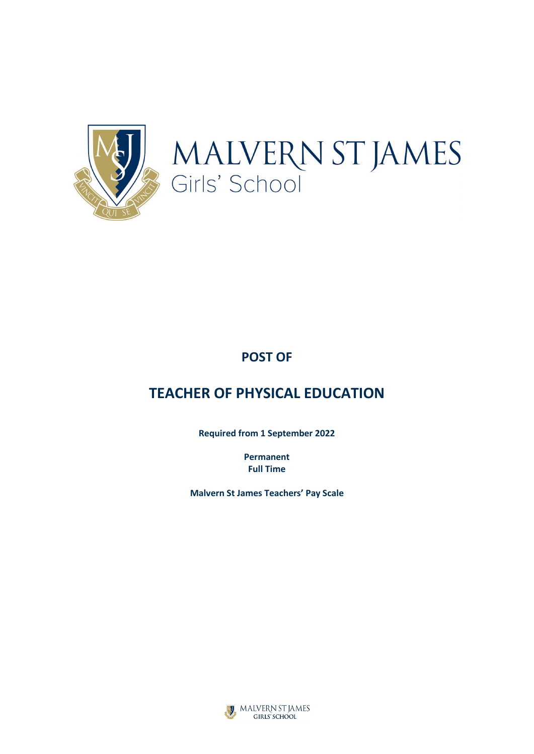

## **POST OF**

# **TEACHER OF PHYSICAL EDUCATION**

**Required from 1 September 2022**

**Permanent Full Time**

**Malvern St James Teachers' Pay Scale**

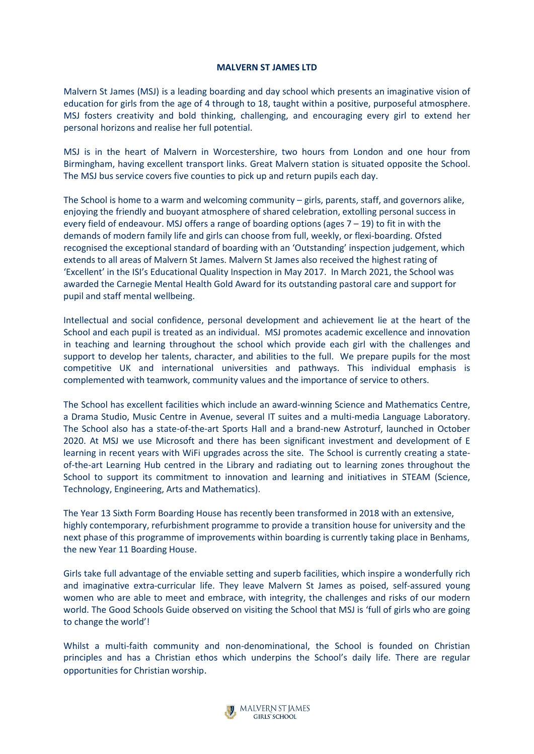## **MALVERN ST JAMES LTD**

Malvern St James (MSJ) is a leading boarding and day school which presents an imaginative vision of education for girls from the age of 4 through to 18, taught within a positive, purposeful atmosphere. MSJ fosters creativity and bold thinking, challenging, and encouraging every girl to extend her personal horizons and realise her full potential.

MSJ is in the heart of Malvern in Worcestershire, two hours from London and one hour from Birmingham, having excellent transport links. Great Malvern station is situated opposite the School. The MSJ bus service covers five counties to pick up and return pupils each day.

The School is home to a warm and welcoming community – girls, parents, staff, and governors alike, enjoying the friendly and buoyant atmosphere of shared celebration, extolling personal success in every field of endeavour. MSJ offers a range of boarding options (ages  $7 - 19$ ) to fit in with the demands of modern family life and girls can choose from full, weekly, or flexi-boarding. Ofsted recognised the exceptional standard of boarding with an 'Outstanding' inspection judgement, which extends to all areas of Malvern St James. Malvern St James also received the highest rating of 'Excellent' in the ISI's Educational Quality Inspection in May 2017. In March 2021, the School was awarded the Carnegie Mental Health Gold Award for its outstanding pastoral care and support for pupil and staff mental wellbeing.

Intellectual and social confidence, personal development and achievement lie at the heart of the School and each pupil is treated as an individual. MSJ promotes academic excellence and innovation in teaching and learning throughout the school which provide each girl with the challenges and support to develop her talents, character, and abilities to the full. We prepare pupils for the most competitive UK and international universities and pathways. This individual emphasis is complemented with teamwork, community values and the importance of service to others.

The School has excellent facilities which include an award-winning Science and Mathematics Centre, a Drama Studio, Music Centre in Avenue, several IT suites and a multi-media Language Laboratory. The School also has a state-of-the-art Sports Hall and a brand-new Astroturf, launched in October 2020. At MSJ we use Microsoft and there has been significant investment and development of E learning in recent years with WiFi upgrades across the site. The School is currently creating a stateof-the-art Learning Hub centred in the Library and radiating out to learning zones throughout the School to support its commitment to innovation and learning and initiatives in STEAM (Science, Technology, Engineering, Arts and Mathematics).

The Year 13 Sixth Form Boarding House has recently been transformed in 2018 with an extensive, highly contemporary, refurbishment programme to provide a transition house for university and the next phase of this programme of improvements within boarding is currently taking place in Benhams, the new Year 11 Boarding House.

Girls take full advantage of the enviable setting and superb facilities, which inspire a wonderfully rich and imaginative extra-curricular life. They leave Malvern St James as poised, self-assured young women who are able to meet and embrace, with integrity, the challenges and risks of our modern world. The Good Schools Guide observed on visiting the School that MSJ is 'full of girls who are going to change the world'!

Whilst a multi-faith community and non-denominational, the School is founded on Christian principles and has a Christian ethos which underpins the School's daily life. There are regular opportunities for Christian worship.

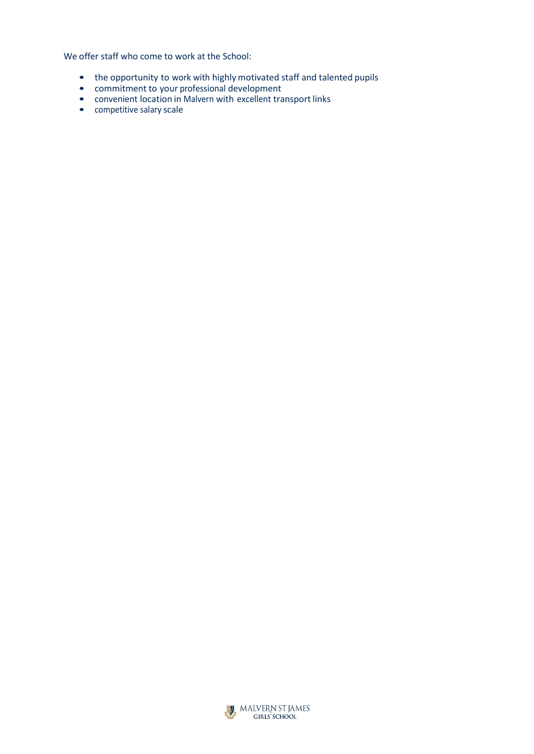We offer staff who come to work at the School:

- the opportunity to work with highly motivated staff and talented pupils
- commitment to your professional development
- convenient location in Malvern with excellent transport links
- competitive salary scale

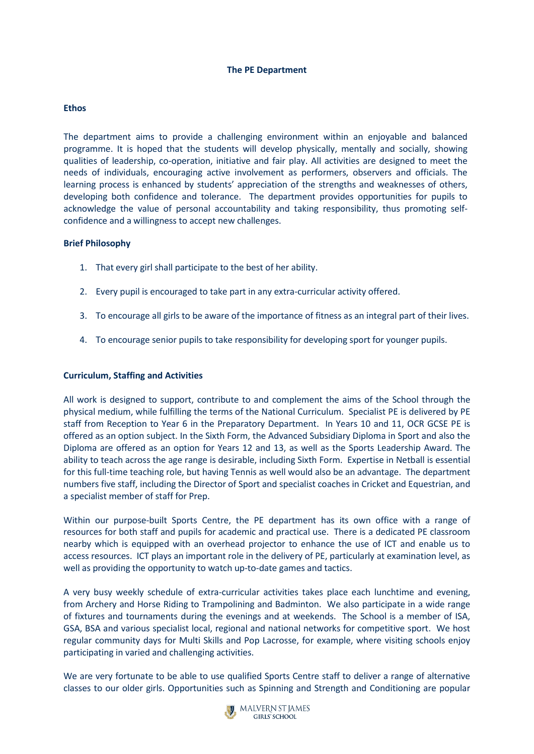## **The PE Department**

## **Ethos**

The department aims to provide a challenging environment within an enjoyable and balanced programme. It is hoped that the students will develop physically, mentally and socially, showing qualities of leadership, co-operation, initiative and fair play. All activities are designed to meet the needs of individuals, encouraging active involvement as performers, observers and officials. The learning process is enhanced by students' appreciation of the strengths and weaknesses of others, developing both confidence and tolerance. The department provides opportunities for pupils to acknowledge the value of personal accountability and taking responsibility, thus promoting selfconfidence and a willingness to accept new challenges.

#### **Brief Philosophy**

- 1. That every girl shall participate to the best of her ability.
- 2. Every pupil is encouraged to take part in any extra-curricular activity offered.
- 3. To encourage all girls to be aware of the importance of fitness as an integral part of their lives.
- 4. To encourage senior pupils to take responsibility for developing sport for younger pupils.

#### **Curriculum, Staffing and Activities**

All work is designed to support, contribute to and complement the aims of the School through the physical medium, while fulfilling the terms of the National Curriculum. Specialist PE is delivered by PE staff from Reception to Year 6 in the Preparatory Department. In Years 10 and 11, OCR GCSE PE is offered as an option subject. In the Sixth Form, the Advanced Subsidiary Diploma in Sport and also the Diploma are offered as an option for Years 12 and 13, as well as the Sports Leadership Award. The ability to teach across the age range is desirable, including Sixth Form. Expertise in Netball is essential for this full-time teaching role, but having Tennis as well would also be an advantage. The department numbers five staff, including the Director of Sport and specialist coaches in Cricket and Equestrian, and a specialist member of staff for Prep.

Within our purpose-built Sports Centre, the PE department has its own office with a range of resources for both staff and pupils for academic and practical use. There is a dedicated PE classroom nearby which is equipped with an overhead projector to enhance the use of ICT and enable us to access resources. ICT plays an important role in the delivery of PE, particularly at examination level, as well as providing the opportunity to watch up-to-date games and tactics.

A very busy weekly schedule of extra-curricular activities takes place each lunchtime and evening, from Archery and Horse Riding to Trampolining and Badminton. We also participate in a wide range of fixtures and tournaments during the evenings and at weekends. The School is a member of ISA, GSA, BSA and various specialist local, regional and national networks for competitive sport. We host regular community days for Multi Skills and Pop Lacrosse, for example, where visiting schools enjoy participating in varied and challenging activities.

We are very fortunate to be able to use qualified Sports Centre staff to deliver a range of alternative classes to our older girls. Opportunities such as Spinning and Strength and Conditioning are popular

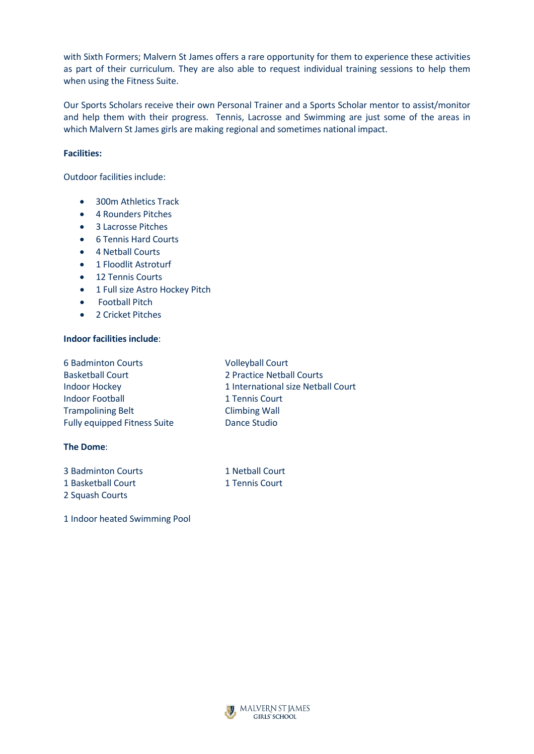with Sixth Formers; Malvern St James offers a rare opportunity for them to experience these activities as part of their curriculum. They are also able to request individual training sessions to help them when using the Fitness Suite.

Our Sports Scholars receive their own Personal Trainer and a Sports Scholar mentor to assist/monitor and help them with their progress. Tennis, Lacrosse and Swimming are just some of the areas in which Malvern St James girls are making regional and sometimes national impact.

## **Facilities:**

Outdoor facilities include:

- 300m Athletics Track
- 4 Rounders Pitches
- 3 Lacrosse Pitches
- 6 Tennis Hard Courts
- 4 Netball Courts
- 1 Floodlit Astroturf
- 12 Tennis Courts
- 1 Full size Astro Hockey Pitch
- Football Pitch
- 2 Cricket Pitches

## **Indoor facilities include**:

| <b>Volleyball Court</b>            |
|------------------------------------|
| 2 Practice Netball Courts          |
| 1 International size Netball Court |
| 1 Tennis Court                     |
| <b>Climbing Wall</b>               |
| Dance Studio                       |
|                                    |

## **The Dome**:

| 3 Badminton Courts | 1 Netball Court |
|--------------------|-----------------|
| 1 Basketball Court | 1 Tennis Court  |
| 2 Squash Courts    |                 |

1 Indoor heated Swimming Pool

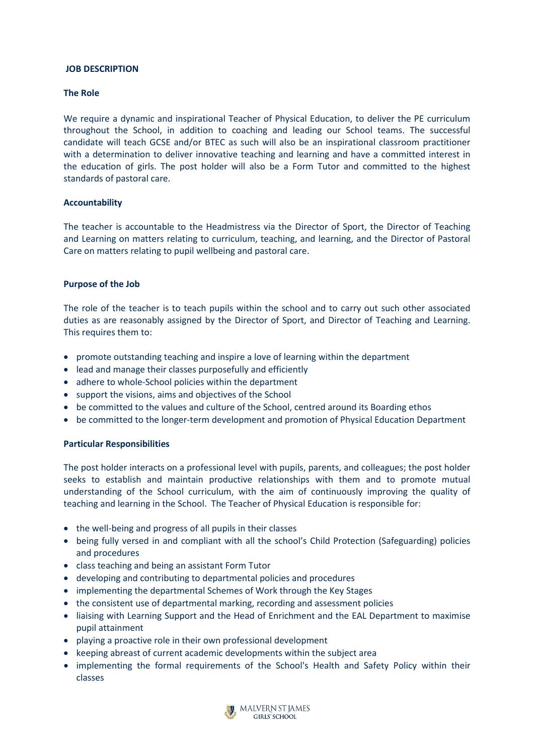## **JOB DESCRIPTION**

## **The Role**

We require a dynamic and inspirational Teacher of Physical Education, to deliver the PE curriculum throughout the School, in addition to coaching and leading our School teams. The successful candidate will teach GCSE and/or BTEC as such will also be an inspirational classroom practitioner with a determination to deliver innovative teaching and learning and have a committed interest in the education of girls. The post holder will also be a Form Tutor and committed to the highest standards of pastoral care.

## **Accountability**

The teacher is accountable to the Headmistress via the Director of Sport, the Director of Teaching and Learning on matters relating to curriculum, teaching, and learning, and the Director of Pastoral Care on matters relating to pupil wellbeing and pastoral care.

## **Purpose of the Job**

The role of the teacher is to teach pupils within the school and to carry out such other associated duties as are reasonably assigned by the Director of Sport, and Director of Teaching and Learning. This requires them to:

- promote outstanding teaching and inspire a love of learning within the department
- lead and manage their classes purposefully and efficiently
- adhere to whole-School policies within the department
- support the visions, aims and objectives of the School
- be committed to the values and culture of the School, centred around its Boarding ethos
- be committed to the longer-term development and promotion of Physical Education Department

#### **Particular Responsibilities**

The post holder interacts on a professional level with pupils, parents, and colleagues; the post holder seeks to establish and maintain productive relationships with them and to promote mutual understanding of the School curriculum, with the aim of continuously improving the quality of teaching and learning in the School. The Teacher of Physical Education is responsible for:

- the well-being and progress of all pupils in their classes
- being fully versed in and compliant with all the school's Child Protection (Safeguarding) policies and procedures
- class teaching and being an assistant Form Tutor
- developing and contributing to departmental policies and procedures
- implementing the departmental Schemes of Work through the Key Stages
- the consistent use of departmental marking, recording and assessment policies
- liaising with Learning Support and the Head of Enrichment and the EAL Department to maximise pupil attainment
- playing a proactive role in their own professional development
- keeping abreast of current academic developments within the subject area
- implementing the formal requirements of the School's Health and Safety Policy within their classes

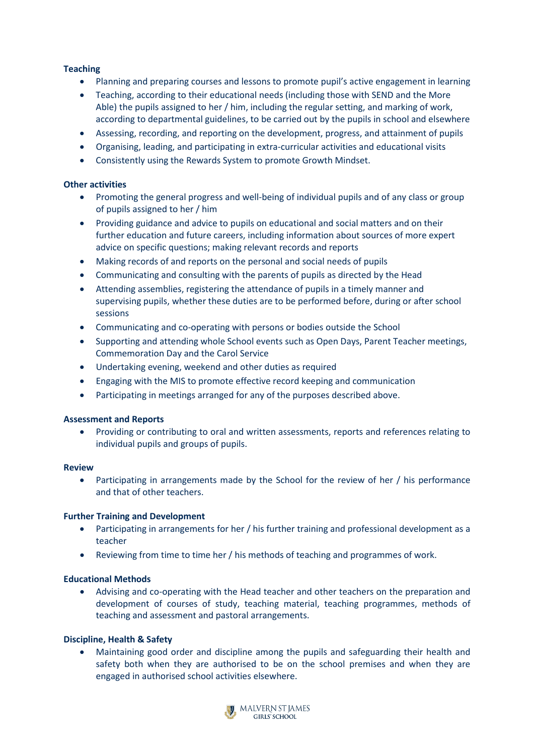## **Teaching**

- Planning and preparing courses and lessons to promote pupil's active engagement in learning
- Teaching, according to their educational needs (including those with SEND and the More Able) the pupils assigned to her / him, including the regular setting, and marking of work, according to departmental guidelines, to be carried out by the pupils in school and elsewhere
- Assessing, recording, and reporting on the development, progress, and attainment of pupils
- Organising, leading, and participating in extra-curricular activities and educational visits
- Consistently using the Rewards System to promote Growth Mindset.

## **Other activities**

- Promoting the general progress and well-being of individual pupils and of any class or group of pupils assigned to her / him
- Providing guidance and advice to pupils on educational and social matters and on their further education and future careers, including information about sources of more expert advice on specific questions; making relevant records and reports
- Making records of and reports on the personal and social needs of pupils
- Communicating and consulting with the parents of pupils as directed by the Head
- Attending assemblies, registering the attendance of pupils in a timely manner and supervising pupils, whether these duties are to be performed before, during or after school sessions
- Communicating and co-operating with persons or bodies outside the School
- Supporting and attending whole School events such as Open Days, Parent Teacher meetings, Commemoration Day and the Carol Service
- Undertaking evening, weekend and other duties as required
- Engaging with the MIS to promote effective record keeping and communication
- Participating in meetings arranged for any of the purposes described above.

## **Assessment and Reports**

• Providing or contributing to oral and written assessments, reports and references relating to individual pupils and groups of pupils.

## **Review**

• Participating in arrangements made by the School for the review of her / his performance and that of other teachers.

## **Further Training and Development**

- Participating in arrangements for her / his further training and professional development as a teacher
- Reviewing from time to time her / his methods of teaching and programmes of work.

## **Educational Methods**

• Advising and co-operating with the Head teacher and other teachers on the preparation and development of courses of study, teaching material, teaching programmes, methods of teaching and assessment and pastoral arrangements.

## **Discipline, Health & Safety**

• Maintaining good order and discipline among the pupils and safeguarding their health and safety both when they are authorised to be on the school premises and when they are engaged in authorised school activities elsewhere.

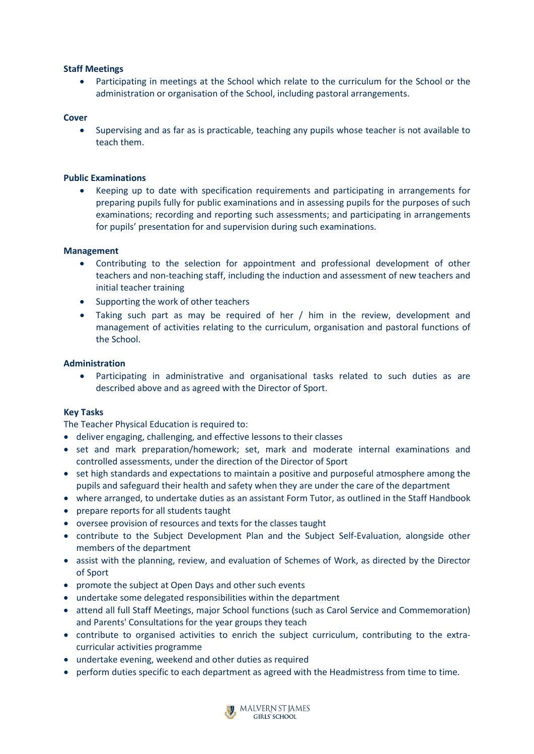## **Staff Meetings**

• Participating in meetings at the School which relate to the curriculum for the School or the administration or organisation of the School, including pastoral arrangements.

#### **Cover**

• Supervising and as far as is practicable, teaching any pupils whose teacher is not available to teach them.

## **Public Examinations**

• Keeping up to date with specification requirements and participating in arrangements for preparing pupils fully for public examinations and in assessing pupils for the purposes of such examinations; recording and reporting such assessments; and participating in arrangements for pupils' presentation for and supervision during such examinations.

## **Management**

- Contributing to the selection for appointment and professional development of other teachers and non-teaching staff, including the induction and assessment of new teachers and initial teacher training
- Supporting the work of other teachers
- Taking such part as may be required of her / him in the review, development and management of activities relating to the curriculum, organisation and pastoral functions of the School.

#### **Administration**

• Participating in administrative and organisational tasks related to such duties as are described above and as agreed with the Director of Sport.

## **Key Tasks**

The Teacher Physical Education is required to:

- deliver engaging, challenging, and effective lessons to their classes
- set and mark preparation/homework; set, mark and moderate internal examinations and controlled assessments, under the direction of the Director of Sport
- set high standards and expectations to maintain a positive and purposeful atmosphere among the pupils and safeguard their health and safety when they are under the care of the department
- where arranged, to undertake duties as an assistant Form Tutor, as outlined in the Staff Handbook
- prepare reports for all students taught
- oversee provision of resources and texts for the classes taught
- contribute to the Subject Development Plan and the Subject Self-Evaluation, alongside other members of the department
- assist with the planning, review, and evaluation of Schemes of Work, as directed by the Director of Sport
- promote the subject at Open Days and other such events
- undertake some delegated responsibilities within the department
- attend all full Staff Meetings, major School functions (such as Carol Service and Commemoration) and Parents' Consultations for the year groups they teach
- contribute to organised activities to enrich the subject curriculum, contributing to the extracurricular activities programme
- undertake evening, weekend and other duties as required
- perform duties specific to each department as agreed with the Headmistress from time to time.

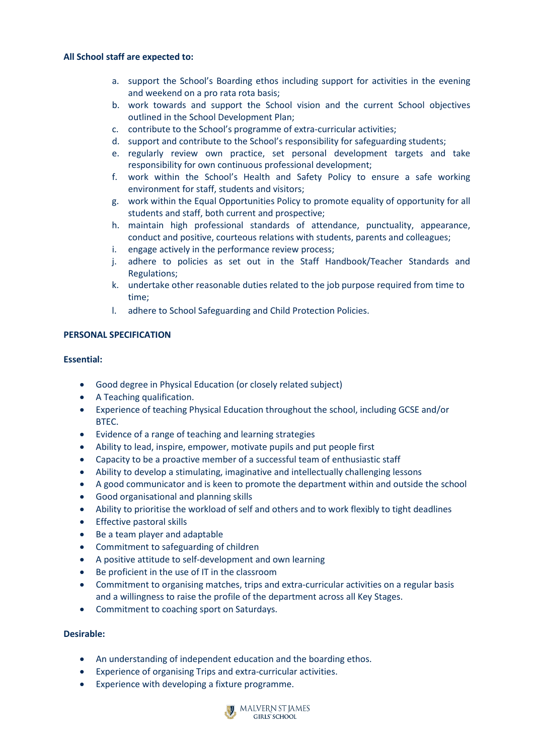## **All School staff are expected to:**

- a. support the School's Boarding ethos including support for activities in the evening and weekend on a pro rata rota basis;
- b. work towards and support the School vision and the current School objectives outlined in the School Development Plan;
- c. contribute to the School's programme of extra-curricular activities;
- d. support and contribute to the School's responsibility for safeguarding students;
- e. regularly review own practice, set personal development targets and take responsibility for own continuous professional development;
- f. work within the School's Health and Safety Policy to ensure a safe working environment for staff, students and visitors;
- g. work within the Equal Opportunities Policy to promote equality of opportunity for all students and staff, both current and prospective;
- h. maintain high professional standards of attendance, punctuality, appearance, conduct and positive, courteous relations with students, parents and colleagues;
- i. engage actively in the performance review process;
- j. adhere to policies as set out in the Staff Handbook/Teacher Standards and Regulations;
- k. undertake other reasonable duties related to the job purpose required from time to time;
- l. adhere to School Safeguarding and Child Protection Policies.

## **PERSONAL SPECIFICATION**

## **Essential:**

- Good degree in Physical Education (or closely related subject)
- A Teaching qualification.
- Experience of teaching Physical Education throughout the school, including GCSE and/or BTEC.
- Evidence of a range of teaching and learning strategies
- Ability to lead, inspire, empower, motivate pupils and put people first
- Capacity to be a proactive member of a successful team of enthusiastic staff
- Ability to develop a stimulating, imaginative and intellectually challenging lessons
- A good communicator and is keen to promote the department within and outside the school
- Good organisational and planning skills
- Ability to prioritise the workload of self and others and to work flexibly to tight deadlines
- Effective pastoral skills
- Be a team player and adaptable
- Commitment to safeguarding of children
- A positive attitude to self-development and own learning
- Be proficient in the use of IT in the classroom
- Commitment to organising matches, trips and extra-curricular activities on a regular basis and a willingness to raise the profile of the department across all Key Stages.
- Commitment to coaching sport on Saturdays.

## **Desirable:**

- An understanding of independent education and the boarding ethos.
- Experience of organising Trips and extra-curricular activities.
- Experience with developing a fixture programme.